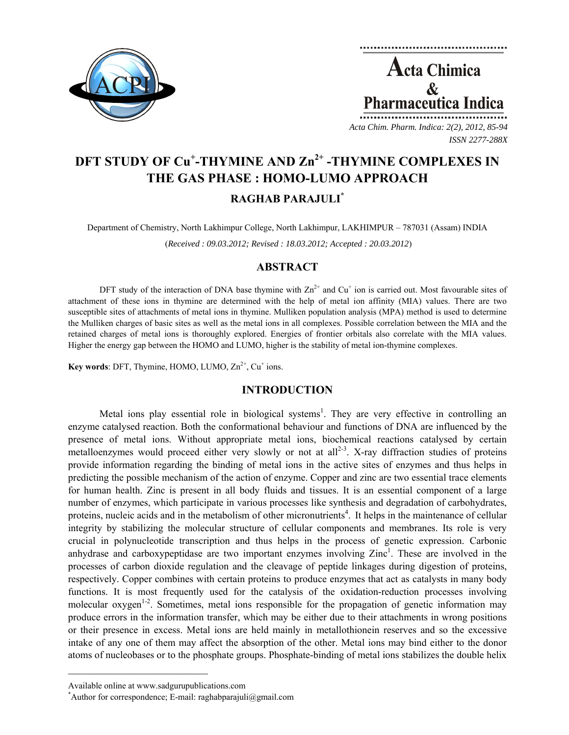



*ISSN 2277-288X*

# **DFT STUDY OF Cu<sup>+</sup> -THYMINE AND Zn2+ -THYMINE COMPLEXES IN THE GAS PHASE : HOMO-LUMO APPROACH RAGHAB PARAJULI\***

Department of Chemistry, North Lakhimpur College, North Lakhimpur, LAKHIMPUR – 787031 (Assam) INDIA

(*Received : 09.03.2012; Revised : 18.03.2012; Accepted : 20.03.2012*)

## **ABSTRACT**

DFT study of the interaction of DNA base thymine with  $Zn^{2+}$  and  $Cu^{+}$  ion is carried out. Most favourable sites of attachment of these ions in thymine are determined with the help of metal ion affinity (MIA) values. There are two susceptible sites of attachments of metal ions in thymine. Mulliken population analysis (MPA) method is used to determine the Mulliken charges of basic sites as well as the metal ions in all complexes. Possible correlation between the MIA and the retained charges of metal ions is thoroughly explored. Energies of frontier orbitals also correlate with the MIA values. Higher the energy gap between the HOMO and LUMO, higher is the stability of metal ion-thymine complexes.

**Key words**: DFT, Thymine, HOMO, LUMO,  $Zn^{2+}$ ,  $Cu^+$  ions.

## **INTRODUCTION**

Metal ions play essential role in biological systems<sup>1</sup>. They are very effective in controlling an enzyme catalysed reaction. Both the conformational behaviour and functions of DNA are influenced by the presence of metal ions. Without appropriate metal ions, biochemical reactions catalysed by certain metalloenzymes would proceed either very slowly or not at all<sup>2-3</sup>. X-ray diffraction studies of proteins provide information regarding the binding of metal ions in the active sites of enzymes and thus helps in predicting the possible mechanism of the action of enzyme. Copper and zinc are two essential trace elements for human health. Zinc is present in all body fluids and tissues. It is an essential component of a large number of enzymes, which participate in various processes like synthesis and degradation of carbohydrates, proteins, nucleic acids and in the metabolism of other micronutrients<sup>4</sup>. It helps in the maintenance of cellular integrity by stabilizing the molecular structure of cellular components and membranes. Its role is very crucial in polynucleotide transcription and thus helps in the process of genetic expression. Carbonic anhydrase and carboxypeptidase are two important enzymes involving  $Zinc<sup>1</sup>$ . These are involved in the processes of carbon dioxide regulation and the cleavage of peptide linkages during digestion of proteins, respectively. Copper combines with certain proteins to produce enzymes that act as catalysts in many body functions. It is most frequently used for the catalysis of the oxidation-reduction processes involving molecular oxygen<sup>1-2</sup>. Sometimes, metal ions responsible for the propagation of genetic information may produce errors in the information transfer, which may be either due to their attachments in wrong positions or their presence in excess. Metal ions are held mainly in metallothionein reserves and so the excessive intake of any one of them may affect the absorption of the other. Metal ions may bind either to the donor atoms of nucleobases or to the phosphate groups. Phosphate-binding of metal ions stabilizes the double helix

 $\mathcal{L}=\{1,2,3,4,5\}$ 

Available online at www.sadgurupublications.com \*

<sup>\*</sup>Author for correspondence; E-mail: raghabparajuli@gmail.com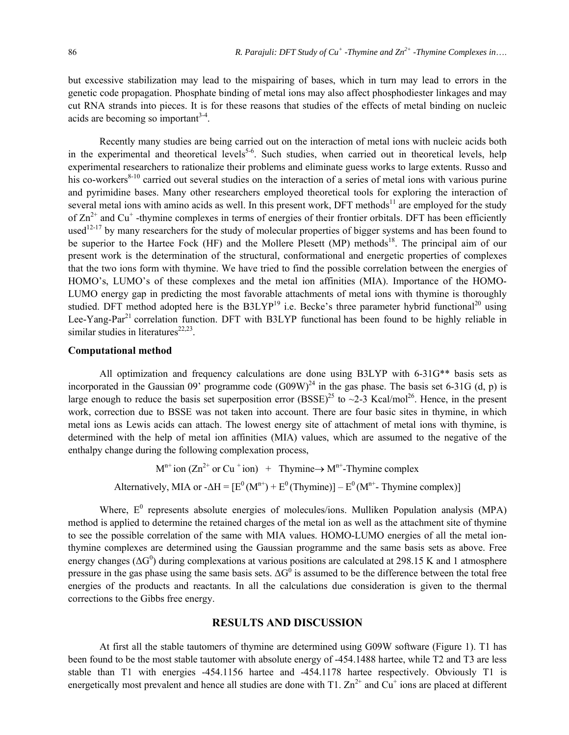but excessive stabilization may lead to the mispairing of bases, which in turn may lead to errors in the genetic code propagation. Phosphate binding of metal ions may also affect phosphodiester linkages and may cut RNA strands into pieces. It is for these reasons that studies of the effects of metal binding on nucleic acids are becoming so important $3-4$ .

Recently many studies are being carried out on the interaction of metal ions with nucleic acids both in the experimental and theoretical levels<sup>5-6</sup>. Such studies, when carried out in theoretical levels, help experimental researchers to rationalize their problems and eliminate guess works to large extents. Russo and his co-workers<sup>8-10</sup> carried out several studies on the interaction of a series of metal ions with various purine and pyrimidine bases. Many other researchers employed theoretical tools for exploring the interaction of several metal ions with amino acids as well. In this present work, DFT methods<sup>11</sup> are employed for the study of  $Zn^{2+}$  and  $Cu^+$  -thymine complexes in terms of energies of their frontier orbitals. DFT has been efficiently used<sup>12-17</sup> by many researchers for the study of molecular properties of bigger systems and has been found to be superior to the Hartee Fock (HF) and the Mollere Plesett (MP) methods<sup>18</sup>. The principal aim of our present work is the determination of the structural, conformational and energetic properties of complexes that the two ions form with thymine. We have tried to find the possible correlation between the energies of HOMO's, LUMO's of these complexes and the metal ion affinities (MIA). Importance of the HOMO-LUMO energy gap in predicting the most favorable attachments of metal ions with thymine is thoroughly studied. DFT method adopted here is the B3LYP<sup>19</sup> i.e. Becke's three parameter hybrid functional<sup>20</sup> using Lee-Yang-Par<sup>21</sup> correlation function. DFT with B3LYP functional has been found to be highly reliable in similar studies in literatures<sup>22,23</sup>.

### **Computational method**

All optimization and frequency calculations are done using B3LYP with 6-31G\*\* basis sets as incorporated in the Gaussian 09' programme code  $(G09W)^{24}$  in the gas phase. The basis set 6-31G (d, p) is large enough to reduce the basis set superposition error  $(BSSE)^{25}$  to  $\sim$ 2-3 Kcal/mol<sup>26</sup>. Hence, in the present work, correction due to BSSE was not taken into account. There are four basic sites in thymine, in which metal ions as Lewis acids can attach. The lowest energy site of attachment of metal ions with thymine, is determined with the help of metal ion affinities (MIA) values, which are assumed to the negative of the enthalpy change during the following complexation process,

> $M^{n+}$  ion (Zn<sup>2+</sup> or Cu<sup>+</sup> ion) + Thymine → M<sup>n+</sup>-Thymine complex Alternatively, MIA or  $-AH = [E^0(M^{n+}) + E^0(TM'') - E^0(M^{n+}) - E^0(M^{n+})]$

Where,  $E^0$  represents absolute energies of molecules/ions. Mulliken Population analysis (MPA) method is applied to determine the retained charges of the metal ion as well as the attachment site of thymine to see the possible correlation of the same with MIA values. HOMO-LUMO energies of all the metal ionthymine complexes are determined using the Gaussian programme and the same basis sets as above. Free energy changes ( $\Delta G^0$ ) during complexations at various positions are calculated at 298.15 K and 1 atmosphere pressure in the gas phase using the same basis sets.  $\Delta G^0$  is assumed to be the difference between the total free energies of the products and reactants. In all the calculations due consideration is given to the thermal corrections to the Gibbs free energy.

#### **RESULTS AND DISCUSSION**

At first all the stable tautomers of thymine are determined using G09W software (Figure 1). T1 has been found to be the most stable tautomer with absolute energy of -454.1488 hartee, while T2 and T3 are less stable than T1 with energies -454.1156 hartee and -454.1178 hartee respectively. Obviously T1 is energetically most prevalent and hence all studies are done with T1.  $Zn^{2+}$  and  $Cu^{+}$  ions are placed at different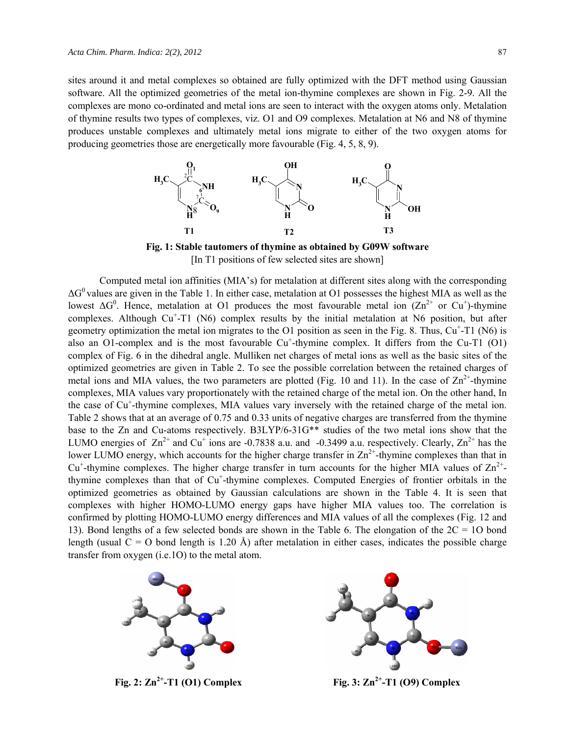sites around it and metal complexes so obtained are fully optimized with the DFT method using Gaussian software. All the optimized geometries of the metal ion-thymine complexes are shown in Fig. 2-9. All the complexes are mono co-ordinated and metal ions are seen to interact with the oxygen atoms only. Metalation of thymine results two types of complexes, viz. O1 and O9 complexes. Metalation at N6 and N8 of thymine produces unstable complexes and ultimately metal ions migrate to either of the two oxygen atoms for producing geometries those are energetically more favourable (Fig. 4, 5, 8, 9).



**Fig. 1: Stable tautomers of thymine as obtained by G09W software** [In T1 positions of few selected sites are shown]

Computed metal ion affinities (MIA's) for metalation at different sites along with the corresponding  $\Delta G^0$  values are given in the Table 1. In either case, metalation at O1 possesses the highest MIA as well as the lowest  $\Delta G^0$ . Hence, metalation at O1 produces the most favourable metal ion ( $\text{Zn}^{2+}$  or Cu<sup>+</sup>)-thymine complexes. Although  $Cu<sup>+</sup>-T1$  (N6) complex results by the initial metalation at N6 position, but after geometry optimization the metal ion migrates to the O1 position as seen in the Fig. 8. Thus,  $Cu<sup>+</sup>-T1$  (N6) is also an O1-complex and is the most favourable Cu<sup>+</sup>-thymine complex. It differs from the Cu-T1 (O1) complex of Fig. 6 in the dihedral angle. Mulliken net charges of metal ions as well as the basic sites of the optimized geometries are given in Table 2. To see the possible correlation between the retained charges of metal ions and MIA values, the two parameters are plotted (Fig. 10 and 11). In the case of  $\text{Zn}^{2+}$ -thymine complexes, MIA values vary proportionately with the retained charge of the metal ion. On the other hand, In the case of Cu<sup>+</sup>-thymine complexes, MIA values vary inversely with the retained charge of the metal ion. Table 2 shows that at an average of 0.75 and 0.33 units of negative charges are transferred from the thymine base to the Zn and Cu-atoms respectively. B3LYP/6-31G\*\* studies of the two metal ions show that the LUMO energies of  $Zn^{2+}$  and Cu<sup>+</sup> ions are -0.7838 a.u. and -0.3499 a.u. respectively. Clearly,  $Zn^{2+}$  has the lower LUMO energy, which accounts for the higher charge transfer in  $\text{Zn}^{2+}$ -thymine complexes than that in  $Cu<sup>+</sup>$ -thymine complexes. The higher charge transfer in turn accounts for the higher MIA values of  $Zn<sup>2+</sup>$ thymine complexes than that of Cu<sup>+</sup>-thymine complexes. Computed Energies of frontier orbitals in the optimized geometries as obtained by Gaussian calculations are shown in the Table 4. It is seen that complexes with higher HOMO-LUMO energy gaps have higher MIA values too. The correlation is confirmed by plotting HOMO-LUMO energy differences and MIA values of all the complexes (Fig. 12 and 13). Bond lengths of a few selected bonds are shown in the Table 6. The elongation of the 2C = 1O bond length (usual  $C = O$  bond length is 1.20 Å) after metalation in either cases, indicates the possible charge transfer from oxygen (i.e.1O) to the metal atom.



**Fig. 2:**  $\text{Zn}^{2+}-\text{T1}$  **(O1) Complex Fig. 3:**  $\text{Zn}^{2+}-\text{T1}$  **(O9) Complex** 

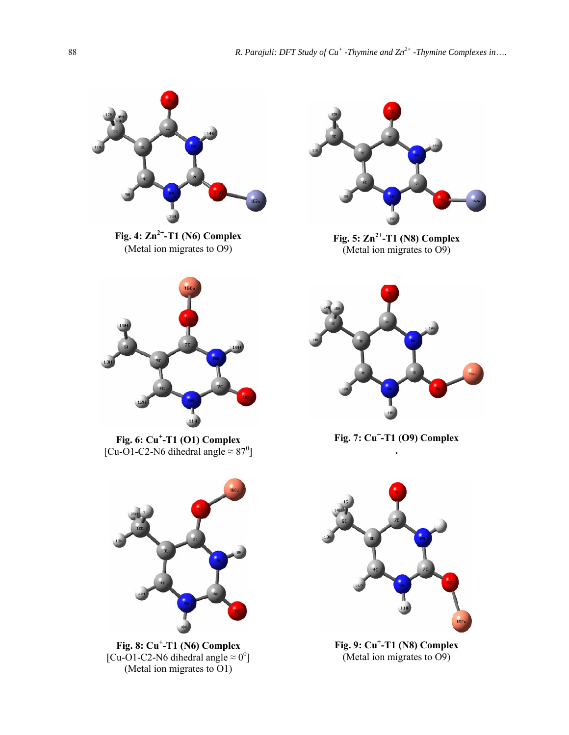

**Fig. 4: Zn2+-T1 (N6) Complex**  (Metal ion migrates to O9)



**Fig. 6: Cu<sup>+</sup> -T1 (O1) Complex**  [Cu-O1-C2-N6 dihedral angle  $\approx 87^0$ ]



**Fig. 8: Cu<sup>+</sup> -T1 (N6) Complex** [Cu-O1-C2-N6 dihedral angle  $\approx 0^0$ ] (Metal ion migrates to O1)



**Fig. 5: Zn2+-T1 (N8) Complex**  $($ Metal ion migrates to O9 $)$ 



**Fig. 7: Cu<sup>+</sup> -T1 (O9) Complex .** 



**Fig. 9: Cu+ -T1 (N8) Complex** (Metal ion migrates to O9)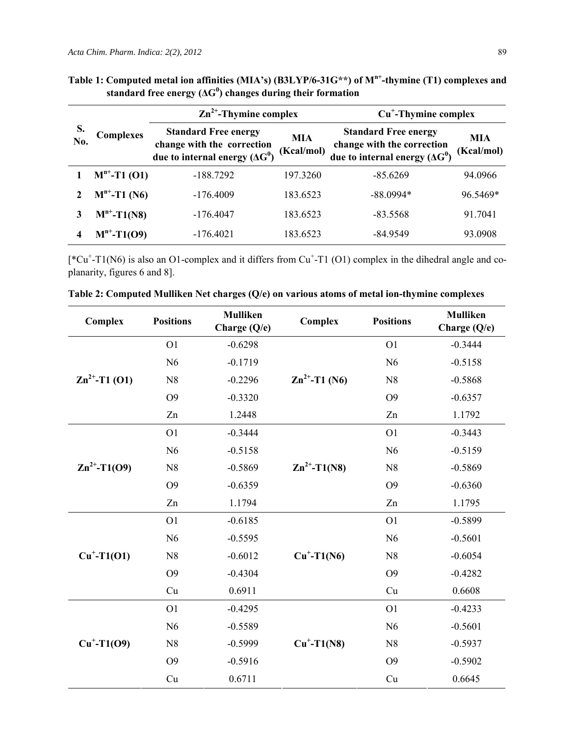| No. | <b>Complexes</b>  | $\mathbf{Zn}^{2+}$ -Thymine complex                                                                |                          | $Cu+-Thymine complex$                                                                              |                          |  |
|-----|-------------------|----------------------------------------------------------------------------------------------------|--------------------------|----------------------------------------------------------------------------------------------------|--------------------------|--|
|     |                   | <b>Standard Free energy</b><br>change with the correction<br>due to internal energy $(\Delta G^0)$ | <b>MIA</b><br>(Kcal/mol) | <b>Standard Free energy</b><br>change with the correction<br>due to internal energy $(\Delta G^0)$ | <b>MIA</b><br>(Kcal/mol) |  |
|     | $M^{n+}$ -T1 (O1) | $-188.7292$                                                                                        | 197.3260                 | $-85.6269$                                                                                         | 94.0966                  |  |
|     | $M^{n+}$ -T1 (N6) | $-176.4009$                                                                                        | 183.6523                 | $-88.0994*$                                                                                        | 96.5469*                 |  |
|     | $M^{n^+}$ -T1(N8) | $-176.4047$                                                                                        | 183.6523                 | $-83.5568$                                                                                         | 91.7041                  |  |
|     | $M^{n^+}$ -T1(O9) | $-176.4021$                                                                                        | 183.6523                 | $-84.9549$                                                                                         | 93.0908                  |  |

**Table 1: Computed metal ion affinities (MIA's) (B3LYP/6-31G\*\*) of Mn+-thymine (T1) complexes and standard free energy (ΔG<sup>0</sup> ) changes during their formation**

 $[^{\ast}Cu^{\ast}-T1(N6)$  is also an O1-complex and it differs from Cu<sup>+</sup>-T1 (O1) complex in the dihedral angle and coplanarity, figures 6 and 8].

| Complex            | <b>Positions</b> | <b>Mulliken</b><br>Charge (Q/e) | Complex                   | <b>Positions</b> | <b>Mulliken</b><br>Charge (Q/e) |
|--------------------|------------------|---------------------------------|---------------------------|------------------|---------------------------------|
|                    | O <sub>1</sub>   | $-0.6298$                       |                           | O <sub>1</sub>   | $-0.3444$                       |
|                    | N <sub>6</sub>   | $-0.1719$                       |                           | N <sub>6</sub>   | $-0.5158$                       |
| $Zn^{2+}$ -T1 (O1) | N8               | $-0.2296$                       | $\text{Zn}^{2+}$ -T1 (N6) | N8               | $-0.5868$                       |
|                    | O <sub>9</sub>   | $-0.3320$                       |                           | O <sub>9</sub>   | $-0.6357$                       |
|                    | Zn               | 1.2448                          |                           | Zn               | 1.1792                          |
|                    | O <sub>1</sub>   | $-0.3444$                       | $Zn^{2+}$ -T1(N8)         | O <sub>1</sub>   | $-0.3443$                       |
|                    | N6               | $-0.5158$                       |                           | N6               | $-0.5159$                       |
| $Zn^{2+}$ -T1(O9)  | N8               | $-0.5869$                       |                           | N8               | $-0.5869$                       |
|                    | O <sub>9</sub>   | $-0.6359$                       |                           | O <sub>9</sub>   | $-0.6360$                       |
|                    | Zn               | 1.1794                          |                           | Zn               | 1.1795                          |
|                    | O <sub>1</sub>   | $-0.6185$                       | $Cu+-T1(N6)$              | O <sub>1</sub>   | $-0.5899$                       |
|                    | N <sub>6</sub>   | $-0.5595$                       |                           | N6               | $-0.5601$                       |
| $Cu+-T1(O1)$       | N <sub>8</sub>   | $-0.6012$                       |                           | N <sub>8</sub>   | $-0.6054$                       |
|                    | O <sub>9</sub>   | $-0.4304$                       |                           | O <sub>9</sub>   | $-0.4282$                       |
|                    | Cu               | 0.6911                          |                           | Cu               | 0.6608                          |
|                    | O <sub>1</sub>   | $-0.4295$                       |                           | O <sub>1</sub>   | $-0.4233$                       |
|                    | N <sub>6</sub>   | $-0.5589$                       |                           | N6               | $-0.5601$                       |
| $Cu^+ - T1(09)$    | N8               | $-0.5999$                       | $Cu+-T1(N8)$              | N <sub>8</sub>   | $-0.5937$                       |
|                    | O <sub>9</sub>   | $-0.5916$                       |                           | O <sub>9</sub>   | $-0.5902$                       |
|                    | Cu               | 0.6711                          |                           | Cu               | 0.6645                          |

**Table 2: Computed Mulliken Net charges (Q/e) on various atoms of metal ion-thymine complexes**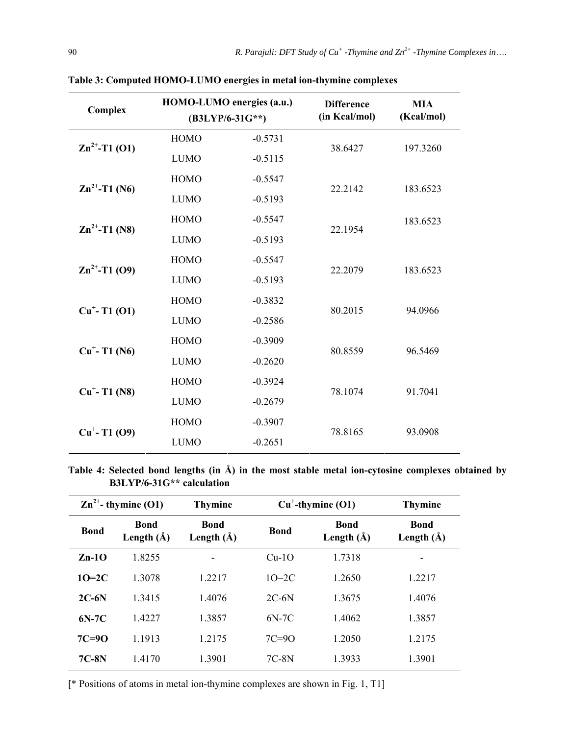| Complex                   | HOMO-LUMO energies (a.u.)<br>$(B3LYP/6-31G^{**})$ |           | <b>Difference</b><br>(in Kcal/mol) | <b>MIA</b><br>(Kcal/mol) |  |
|---------------------------|---------------------------------------------------|-----------|------------------------------------|--------------------------|--|
|                           | <b>HOMO</b>                                       | $-0.5731$ |                                    | 197.3260                 |  |
| $\text{Zn}^{2+}$ -T1 (O1) | <b>LUMO</b>                                       | $-0.5115$ | 38.6427                            |                          |  |
|                           | <b>HOMO</b>                                       | $-0.5547$ |                                    | 183.6523                 |  |
| $\text{Zn}^{2+}$ -T1 (N6) | <b>LUMO</b>                                       | $-0.5193$ | 22.2142                            |                          |  |
| $\text{Zn}^{2+}$ -T1 (N8) | <b>HOMO</b>                                       | $-0.5547$ | 22.1954                            | 183.6523                 |  |
|                           | <b>LUMO</b>                                       | $-0.5193$ |                                    |                          |  |
| $\text{Zn}^{2+}$ -T1 (O9) | <b>HOMO</b>                                       | $-0.5547$ | 22.2079                            | 183.6523                 |  |
|                           | <b>LUMO</b>                                       | $-0.5193$ |                                    |                          |  |
| $Cu^+ - T1$ (O1)          | <b>HOMO</b>                                       | $-0.3832$ | 80.2015                            | 94.0966                  |  |
|                           | <b>LUMO</b>                                       | $-0.2586$ |                                    |                          |  |
| $Cu^+ - T1$ (N6)          | <b>HOMO</b>                                       | $-0.3909$ | 80.8559                            | 96.5469                  |  |
|                           | <b>LUMO</b>                                       | $-0.2620$ |                                    |                          |  |
| $Cu+ - T1 (N8)$           | <b>HOMO</b>                                       | $-0.3924$ | 78.1074                            | 91.7041                  |  |
|                           | <b>LUMO</b>                                       | $-0.2679$ |                                    |                          |  |
| $Cu+ - T1 (O9)$           | <b>HOMO</b>                                       | $-0.3907$ | 78.8165                            | 93.0908                  |  |
|                           | <b>LUMO</b>                                       | $-0.2651$ |                                    |                          |  |

**Table 3: Computed HOMO-LUMO energies in metal ion-thymine complexes** 

**Table 4: Selected bond lengths (in Å) in the most stable metal ion-cytosine complexes obtained by B3LYP/6-31G\*\* calculation** 

|             | $\text{Zn}^{2+}$ - thymine (O1) | <b>Thymine</b>                | $Cu^{\dagger}$ -thymine (O1) |                               | <b>Thymine</b>                |
|-------------|---------------------------------|-------------------------------|------------------------------|-------------------------------|-------------------------------|
| <b>Bond</b> | <b>Bond</b><br>Length $(\AA)$   | <b>Bond</b><br>Length $(\AA)$ | <b>Bond</b>                  | <b>Bond</b><br>Length $(\AA)$ | <b>Bond</b><br>Length $(\AA)$ |
| $Zn-1O$     | 1.8255                          |                               | $Cu-1O$                      | 1.7318                        |                               |
| $10=2C$     | 1.3078                          | 1.2217                        | $1O=2C$                      | 1.2650                        | 1.2217                        |
| $2C-6N$     | 1.3415                          | 1.4076                        | $2C-6N$                      | 1.3675                        | 1.4076                        |
| $6N-7C$     | 1.4227                          | 1.3857                        | $6N-7C$                      | 1.4062                        | 1.3857                        |
| $7C=9O$     | 1.1913                          | 1.2175                        | $7C=9O$                      | 1.2050                        | 1.2175                        |
| $7C-8N$     | 1.4170                          | 1.3901                        | $7C-8N$                      | 1.3933                        | 1.3901                        |

[\* Positions of atoms in metal ion-thymine complexes are shown in Fig. 1, T1]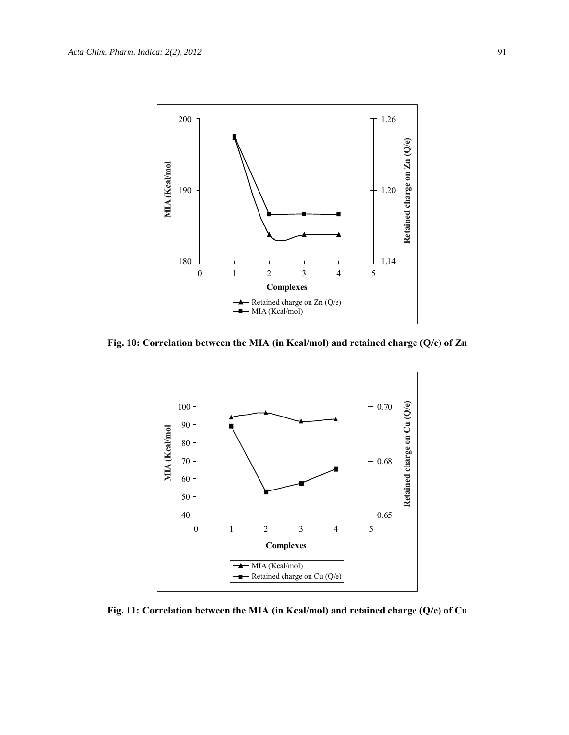

**Fig. 10: Correlation between the MIA (in Kcal/mol) and retained charge (Q/e) of Zn** 



**Fig. 11: Correlation between the MIA (in Kcal/mol) and retained charge (Q/e) of Cu**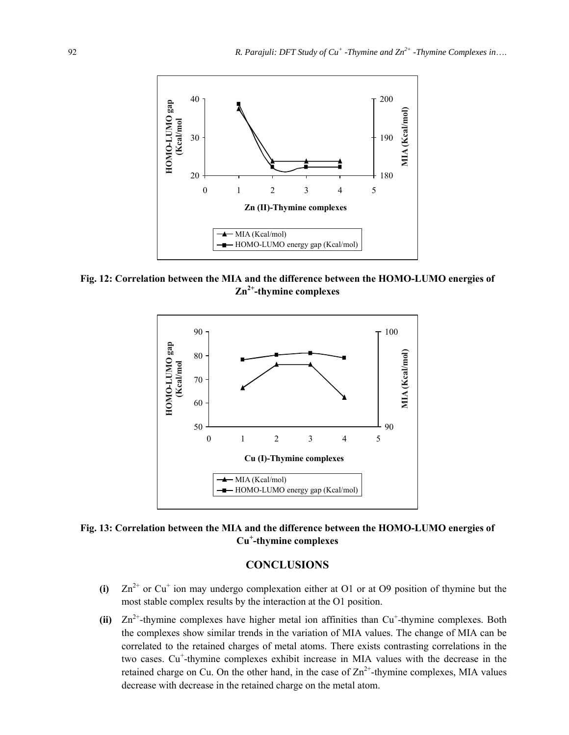

**Fig. 12: Correlation between the MIA and the difference between the HOMO-LUMO energies of Zn2+-thymine complexes** 



**Fig. 13: Correlation between the MIA and the difference between the HOMO-LUMO energies of Cu<sup>+</sup> -thymine complexes** 

## **CONCLUSIONS**

- (i)  $Zn^{2+}$  or  $Cu^+$  ion may undergo complexation either at O1 or at O9 position of thymine but the most stable complex results by the interaction at the O1 position.
- $(iii)$   $Zn^{2+}$ -thymine complexes have higher metal ion affinities than  $Cu^+$ -thymine complexes. Both the complexes show similar trends in the variation of MIA values. The change of MIA can be correlated to the retained charges of metal atoms. There exists contrasting correlations in the two cases. Cu<sup>+</sup>-thymine complexes exhibit increase in MIA values with the decrease in the retained charge on Cu. On the other hand, in the case of  $\text{Zn}^{2+}$ -thymine complexes, MIA values decrease with decrease in the retained charge on the metal atom.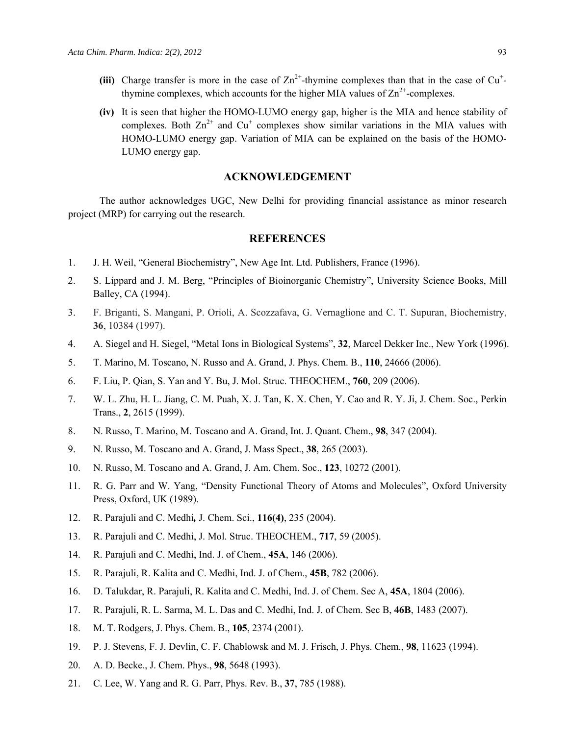- (iii) Charge transfer is more in the case of  $Zn^{2+}$ -thymine complexes than that in the case of  $Cu^{+}$ thymine complexes, which accounts for the higher MIA values of  $\text{Zn}^{2+}$ -complexes.
- **(iv)** It is seen that higher the HOMO-LUMO energy gap, higher is the MIA and hence stability of complexes. Both  $\text{Zn}^{2+}$  and  $\text{Cu}^{+}$  complexes show similar variations in the MIA values with HOMO-LUMO energy gap. Variation of MIA can be explained on the basis of the HOMO-LUMO energy gap.

#### **ACKNOWLEDGEMENT**

The author acknowledges UGC, New Delhi for providing financial assistance as minor research project (MRP) for carrying out the research.

#### **REFERENCES**

- 1. J. H. Weil, "General Biochemistry", New Age Int. Ltd. Publishers, France (1996).
- 2. S. Lippard and J. M. Berg, "Principles of Bioinorganic Chemistry", University Science Books, Mill Balley, CA (1994).
- 3. F. Briganti, S. Mangani, P. Orioli, A. Scozzafava, G. Vernaglione and C. T. Supuran, Biochemistry, **36**, 10384 (1997).
- 4. A. Siegel and H. Siegel, "Metal Ions in Biological Systems", **32**, Marcel Dekker Inc., New York (1996).
- 5. T. Marino, M. Toscano, N. Russo and A. Grand, J. Phys. Chem. B., **110**, 24666 (2006).
- 6. F. Liu, P. Qian, S. Yan and Y. Bu, J. Mol. Struc. THEOCHEM., **760**, 209 (2006).
- 7. W. L. Zhu, H. L. Jiang, C. M. Puah, X. J. Tan, K. X. Chen, Y. Cao and R. Y. Ji, J. Chem. Soc., Perkin Trans., **2**, 2615 (1999).
- 8. N. Russo, T. Marino, M. Toscano and A. Grand, Int. J. Quant. Chem., **98**, 347 (2004).
- 9. N. Russo, M. Toscano and A. Grand, J. Mass Spect., **38**, 265 (2003).
- 10. N. Russo, M. Toscano and A. Grand, J. Am. Chem. Soc., **123**, 10272 (2001).
- 11. R. G. Parr and W. Yang, "Density Functional Theory of Atoms and Molecules", Oxford University Press, Oxford, UK (1989).
- 12. R. Parajuli and C. Medhi*,* J. Chem. Sci., **116(4)**, 235 (2004).
- 13. R. Parajuli and C. Medhi, J. Mol. Struc. THEOCHEM., **717**, 59 (2005).
- 14. R. Parajuli and C. Medhi, Ind. J. of Chem., **45A**, 146 (2006).
- 15. R. Parajuli, R. Kalita and C. Medhi, Ind. J. of Chem., **45B**, 782 (2006).
- 16. D. Talukdar, R. Parajuli, R. Kalita and C. Medhi, Ind. J. of Chem. Sec A, **45A**, 1804 (2006).
- 17. R. Parajuli, R. L. Sarma, M. L. Das and C. Medhi, Ind. J. of Chem. Sec B, **46B**, 1483 (2007).
- 18. M. T. Rodgers, J. Phys. Chem. B., **105**, 2374 (2001).
- 19. P. J. Stevens, F. J. Devlin, C. F. Chablowsk and M. J. Frisch, J. Phys. Chem., **98**, 11623 (1994).
- 20. A. D. Becke., J. Chem. Phys., **98**, 5648 (1993).
- 21. C. Lee, W. Yang and R. G. Parr, Phys. Rev. B., **37**, 785 (1988).